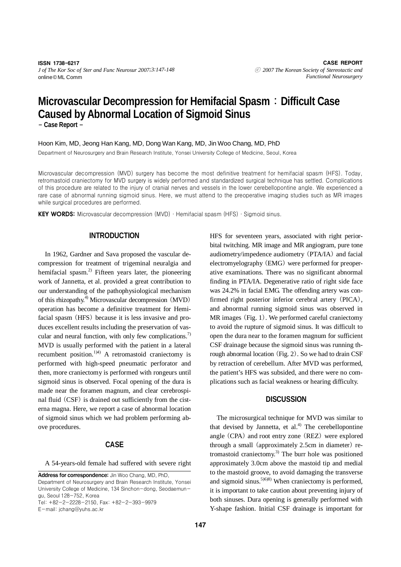# **Microvascular Decompression for Hemifacial Spasm**:**Difficult Case Caused by Abnormal Location of Sigmoid Sinus**

- **Case Report** -

Hoon Kim, MD, Jeong Han Kang, MD, Dong Wan Kang, MD, Jin Woo Chang, MD, PhD

Department of Neurosurgery and Brain Research Institute, Yonsei University College of Medicine, Seoul, Korea

Microvascular decompression (MVD) surgery has become the most definitive treatment for hemifacial spasm (HFS). Today, retromastoid craniectomy for MVD surgery is widely performed and standardized surgical technique has settled. Complications of this procedure are related to the injury of cranial nerves and vessels in the lower cerebellopontine angle. We experienced a rare case of abnormal running sigmoid sinus. Here, we must attend to the preoperative imaging studies such as MR images while surgical procedures are performed.

**KEY WORDS:** Microvascular decompression  $(MVD) \cdot$  Hemifacial spasm  $(HFS) \cdot$  Sigmoid sinus.

# **INTRODUCTION**

In 1962, Gardner and Sava proposed the vascular decompression for treatment of trigeminal neuralgia and hemifacial spasm.<sup>2)</sup> Fifteen years later, the pioneering work of Jannetta, et al. provided a great contribution to our understanding of the pathophysiological mechanism of this rhizopathy.4) Microvascular decompression (MVD) operation has become a definitive treatment for Hemifacial spasm (HFS) because it is less invasive and produces excellent results including the preservation of vascular and neural function, with only few complications.<sup>7)</sup> MVD is usually performed with the patient in a lateral recumbent position.<sup>1)4)</sup> A retromastoid craniectomy is performed with high-speed pneumatic perforator and then, more craniectomy is performed with rongeurs until sigmoid sinus is observed. Focal opening of the dura is made near the foramen magnum, and clear cerebrospinal fluid (CSF) is drained out sufficiently from the cisterna magna. Here, we report a case of abnormal location of sigmoid sinus which we had problem performing above procedures.

# **CASE**

A 54-years-old female had suffered with severe right

E-mail: jchang@yuhs.ac.kr

HFS for seventeen years, associated with right periorbital twitching. MR image and MR angiogram, pure tone audiometry/impedence audiometry (PTA/IA) and facial electromyelography (EMG) were performed for preoperative examinations. There was no significant abnormal finding in PTA/IA. Degenerative ratio of right side face was 24.2% in facial EMG. The offending artery was confirmed right posterior inferior cerebral artery (PICA), and abnormal running sigmoid sinus was observed in MR images (Fig. 1). We performed careful craniectomy to avoid the rupture of sigmoid sinus. It was difficult to open the dura near to the foramen magnum for sufficient CSF drainage because the sigmoid sinus was running through abnormal location (Fig. 2). So we had to drain CSF by retraction of cerebellum. After MVD was performed, the patient's HFS was subsided, and there were no complications such as facial weakness or hearing difficulty.

### **DISCUSSION**

The microsurgical technique for MVD was similar to that devised by Jannetta, et al. $4$ <sup>)</sup> The cerebellopontine angle (CPA) and root entry zone (REZ) were explored through a small (approximately 2.5cm in diameter) retromastoid craniectomy.<sup>3)</sup> The burr hole was positioned approximately 3.0cm above the mastoid tip and medial to the mastoid groove, to avoid damaging the transverse and sigmoid sinus.<sup>5)6)8)</sup> When craniectomy is performed, it is important to take caution about preventing injury of both sinuses. Dura opening is generally performed with Y-shape fashion. Initial CSF drainage is important for

Address for correspondence: Jin Woo Chang, MD, PhD, Department of Neurosurgery and Brain Research Institute, Yonsei University College of Medicine, 134 Sinchon-dong, Seodaemungu, Seoul 128-752, Korea Tel: +82-2-2228-2150, Fax: +82-2-393-9979